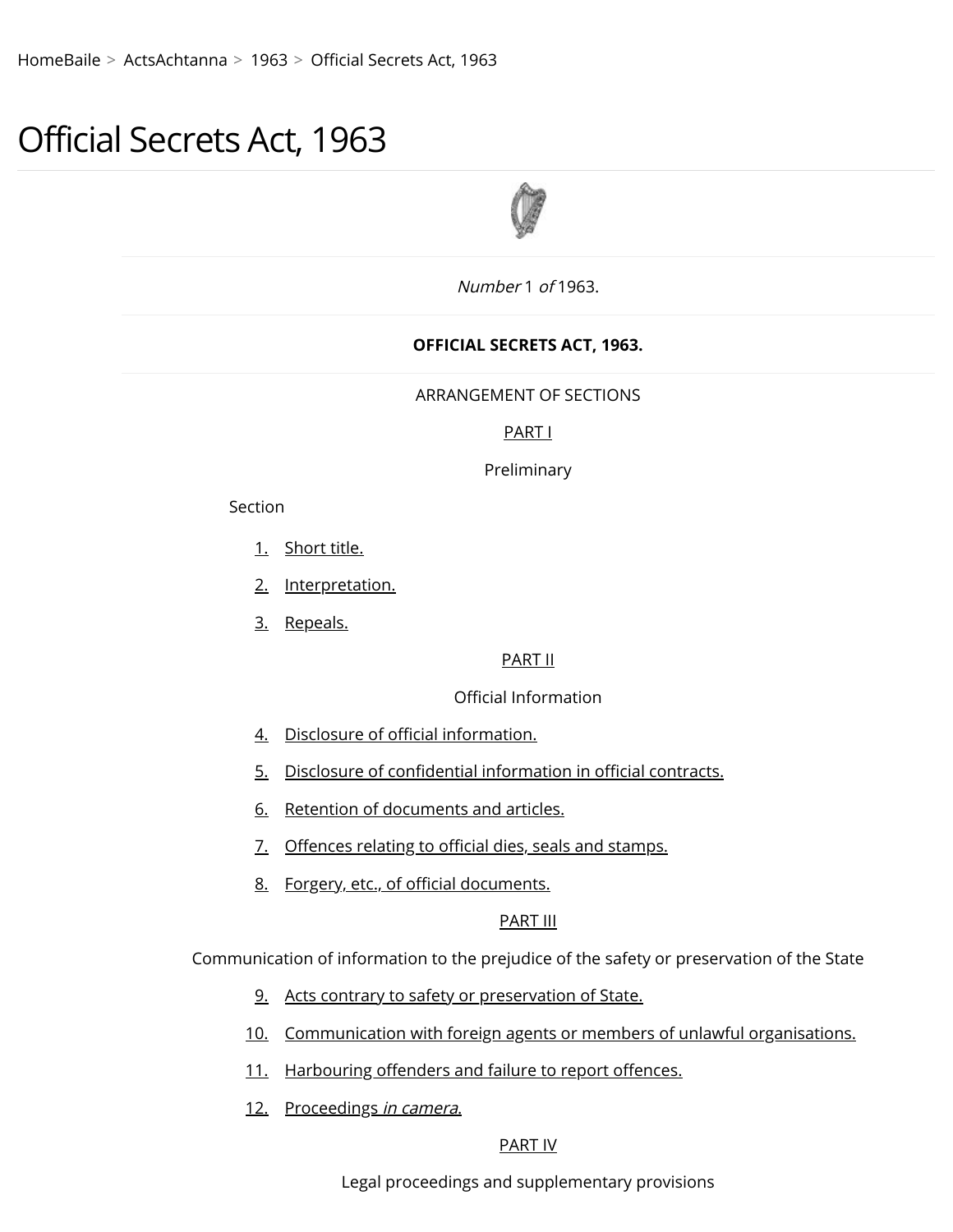# Official Secrets Act, 1963



Number 1 of 1963.

# **OFFICIAL SECRETS ACT, 1963.**

## ARRANGEMENT OF SECTIONS

#### [PART I](http://www.irishstatutebook.ie/1963/en/act/pub/0001/print.html#parti)

#### Preliminary

# Section

- [1.](http://www.irishstatutebook.ie/1963/en/act/pub/0001/print.html#sec1) [Short title.](http://www.irishstatutebook.ie/1963/en/act/pub/0001/print.html#sec1)
- [2.](http://www.irishstatutebook.ie/1963/en/act/pub/0001/print.html#sec2) [Interpretation.](http://www.irishstatutebook.ie/1963/en/act/pub/0001/print.html#sec2)
- [3.](http://www.irishstatutebook.ie/1963/en/act/pub/0001/print.html#sec3) [Repeals.](http://www.irishstatutebook.ie/1963/en/act/pub/0001/print.html#sec3)

## [PART II](http://www.irishstatutebook.ie/1963/en/act/pub/0001/print.html#partii)

# Official Information

- [4.](http://www.irishstatutebook.ie/1963/en/act/pub/0001/print.html#sec4) [Disclosure of official information.](http://www.irishstatutebook.ie/1963/en/act/pub/0001/print.html#sec4)
- [5.](http://www.irishstatutebook.ie/1963/en/act/pub/0001/print.html#sec5) [Disclosure of confidential information in official contracts.](http://www.irishstatutebook.ie/1963/en/act/pub/0001/print.html#sec5)
- [6.](http://www.irishstatutebook.ie/1963/en/act/pub/0001/print.html#sec6) [Retention of documents and articles.](http://www.irishstatutebook.ie/1963/en/act/pub/0001/print.html#sec6)
- [7.](http://www.irishstatutebook.ie/1963/en/act/pub/0001/print.html#sec7) [Offences relating to official dies, seals and stamps.](http://www.irishstatutebook.ie/1963/en/act/pub/0001/print.html#sec7)
- [8.](http://www.irishstatutebook.ie/1963/en/act/pub/0001/print.html#sec8) [Forgery, etc., of official documents.](http://www.irishstatutebook.ie/1963/en/act/pub/0001/print.html#sec8)

## [PART III](http://www.irishstatutebook.ie/1963/en/act/pub/0001/print.html#partiii)

Communication of information to the prejudice of the safety or preservation of the State

- [9.](http://www.irishstatutebook.ie/1963/en/act/pub/0001/print.html#sec9) [Acts contrary to safety or preservation of State.](http://www.irishstatutebook.ie/1963/en/act/pub/0001/print.html#sec9)
- [10.](http://www.irishstatutebook.ie/1963/en/act/pub/0001/print.html#sec10) [Communication with foreign agents or members of unlawful organisations.](http://www.irishstatutebook.ie/1963/en/act/pub/0001/print.html#sec10)
- [11.](http://www.irishstatutebook.ie/1963/en/act/pub/0001/print.html#sec11) [Harbouring offenders and failure to report offences.](http://www.irishstatutebook.ie/1963/en/act/pub/0001/print.html#sec11)
- [12.](http://www.irishstatutebook.ie/1963/en/act/pub/0001/print.html#sec12) [Proceedings](http://www.irishstatutebook.ie/1963/en/act/pub/0001/print.html#sec12) in camera.

## [PART IV](http://www.irishstatutebook.ie/1963/en/act/pub/0001/print.html#partiv)

Legal proceedings and supplementary provisions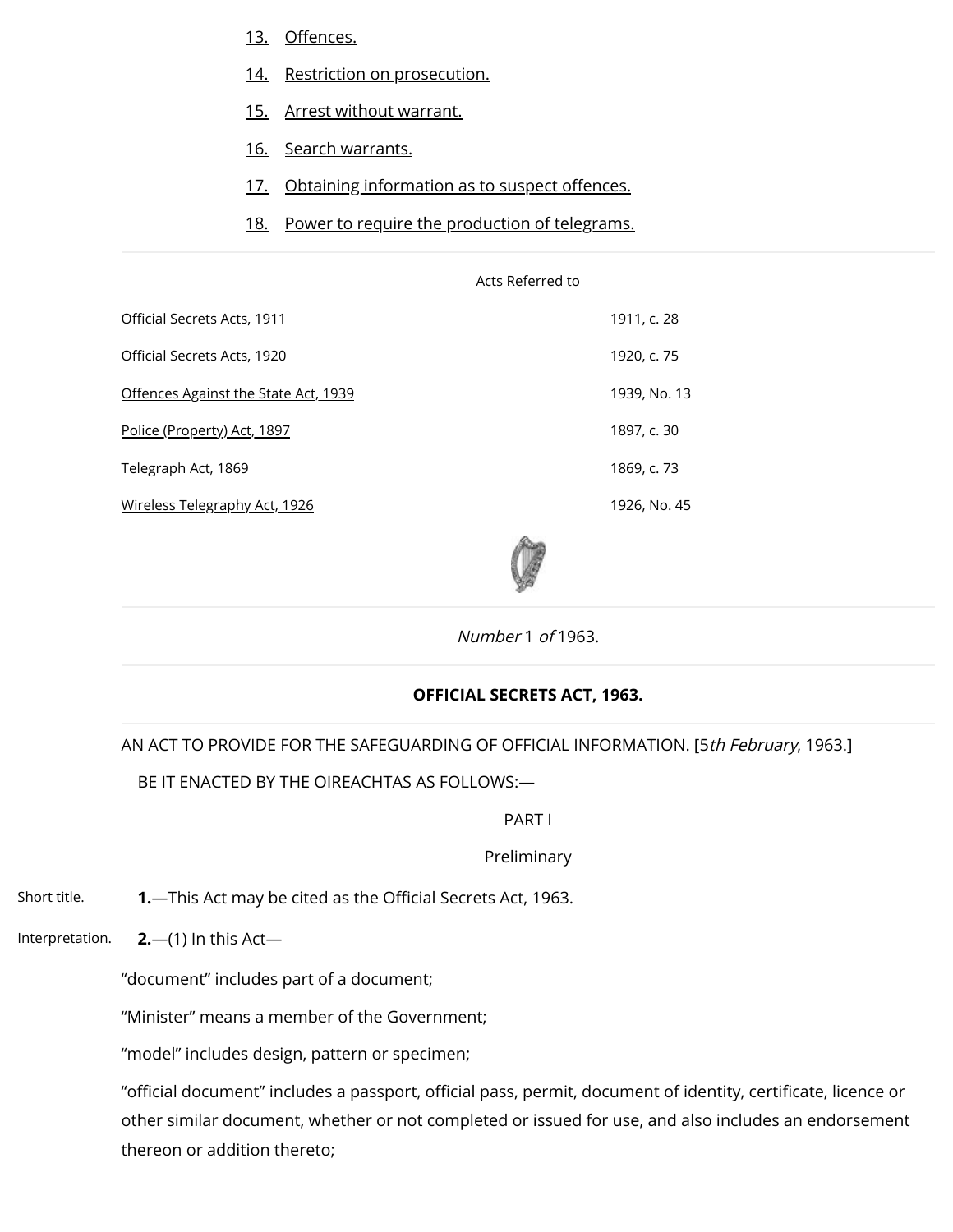- [13.](http://www.irishstatutebook.ie/1963/en/act/pub/0001/print.html#sec13) [Offences.](http://www.irishstatutebook.ie/1963/en/act/pub/0001/print.html#sec13)
- [14.](http://www.irishstatutebook.ie/1963/en/act/pub/0001/print.html#sec14) [Restriction on prosecution.](http://www.irishstatutebook.ie/1963/en/act/pub/0001/print.html#sec14)
- [15.](http://www.irishstatutebook.ie/1963/en/act/pub/0001/print.html#sec15) [Arrest without warrant.](http://www.irishstatutebook.ie/1963/en/act/pub/0001/print.html#sec15)
- [16.](http://www.irishstatutebook.ie/1963/en/act/pub/0001/print.html#sec16) [Search warrants.](http://www.irishstatutebook.ie/1963/en/act/pub/0001/print.html#sec16)
- [17.](http://www.irishstatutebook.ie/1963/en/act/pub/0001/print.html#sec17) [Obtaining information as to suspect offences.](http://www.irishstatutebook.ie/1963/en/act/pub/0001/print.html#sec17)
- [18.](http://www.irishstatutebook.ie/1963/en/act/pub/0001/print.html#sec18) [Power to require the production of telegrams.](http://www.irishstatutebook.ie/1963/en/act/pub/0001/print.html#sec18)

| Wireless Telegraphy Act, 1926        | 1926, No. 45 |
|--------------------------------------|--------------|
| Telegraph Act, 1869                  | 1869, c. 73  |
| <u> Police (Property) Act, 1897</u>  | 1897, c. 30  |
| Offences Against the State Act, 1939 | 1939, No. 13 |
| Official Secrets Acts, 1920          | 1920, c. 75  |
| Official Secrets Acts, 1911          | 1911, c. 28  |
|                                      |              |



Acts Referred to

Number 1 of 1963.

# **OFFICIAL SECRETS ACT, 1963.**

AN ACT TO PROVIDE FOR THE SAFEGUARDING OF OFFICIAL INFORMATION. [5th February, 1963.]

BE IT ENACTED BY THE OIREACHTAS AS FOLLOWS:—

PART I

Preliminary

Short title. **1.**—This Act may be cited as the Official Secrets Act, 1963.

Interpretation. **2.**—(1) In this Act—

"document" includes part of a document;

"Minister" means a member of the Government;

"model" includes design, pattern or specimen;

"official document" includes a passport, official pass, permit, document of identity, certificate, licence or other similar document, whether or not completed or issued for use, and also includes an endorsement thereon or addition thereto;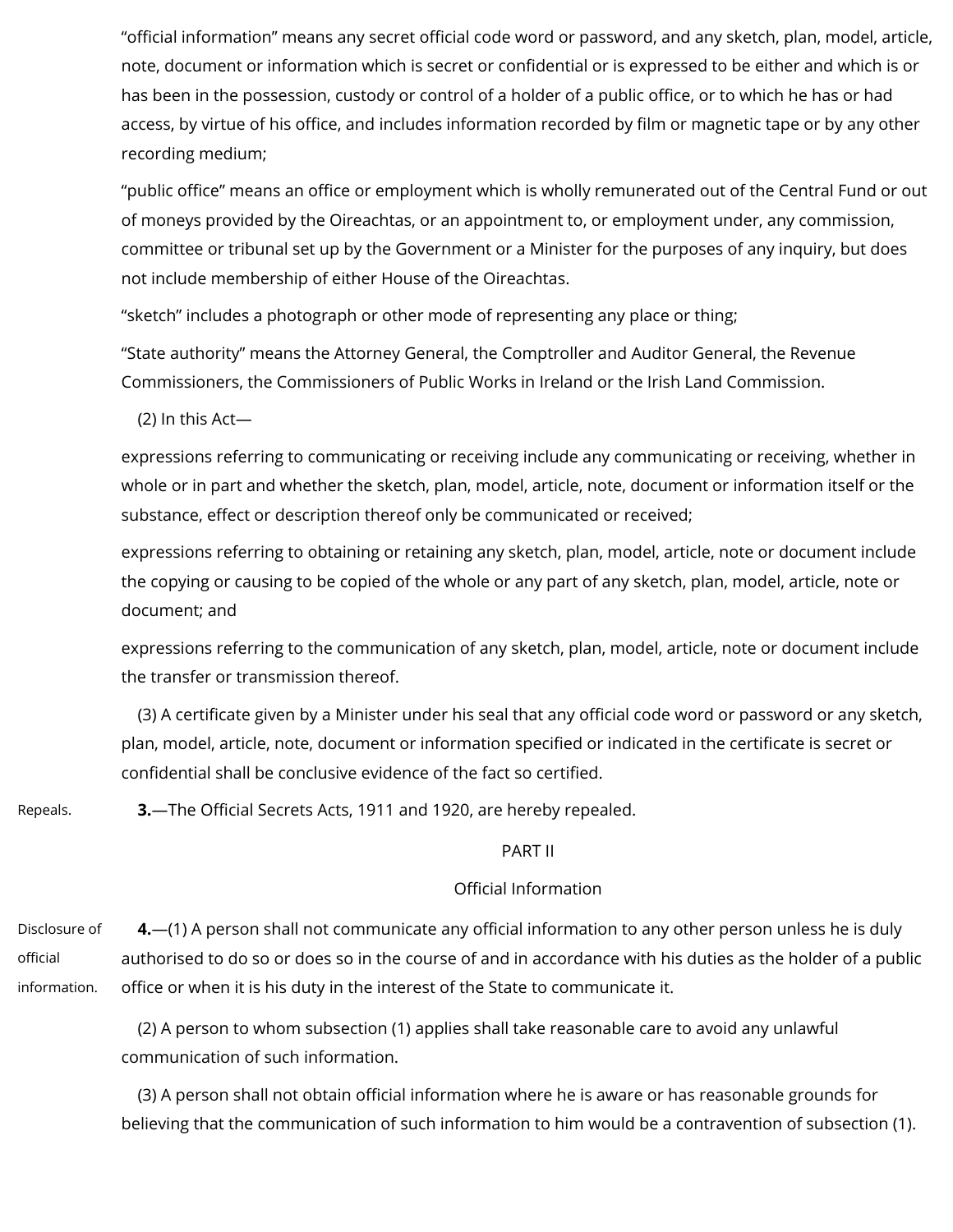"official information" means any secret official code word or password, and any sketch, plan, model, article, note, document or information which is secret or confidential or is expressed to be either and which is or has been in the possession, custody or control of a holder of a public office, or to which he has or had access, by virtue of his office, and includes information recorded by film or magnetic tape or by any other recording medium;

"public office" means an office or employment which is wholly remunerated out of the Central Fund or out of moneys provided by the Oireachtas, or an appointment to, or employment under, any commission, committee or tribunal set up by the Government or a Minister for the purposes of any inquiry, but does not include membership of either House of the Oireachtas.

"sketch" includes a photograph or other mode of representing any place or thing;

"State authority" means the Attorney General, the Comptroller and Auditor General, the Revenue Commissioners, the Commissioners of Public Works in Ireland or the Irish Land Commission.

(2) In this Act—

expressions referring to communicating or receiving include any communicating or receiving, whether in whole or in part and whether the sketch, plan, model, article, note, document or information itself or the substance, effect or description thereof only be communicated or received;

expressions referring to obtaining or retaining any sketch, plan, model, article, note or document include the copying or causing to be copied of the whole or any part of any sketch, plan, model, article, note or document; and

expressions referring to the communication of any sketch, plan, model, article, note or document include the transfer or transmission thereof.

(3) A certificate given by a Minister under his seal that any official code word or password or any sketch, plan, model, article, note, document or information specified or indicated in the certificate is secret or confidential shall be conclusive evidence of the fact so certified.

Repeals. **3.**—The Official Secrets Acts, 1911 and 1920, are hereby repealed.

## PART II

# Official Information

Disclosure of official information. **4.**—(1) A person shall not communicate any official information to any other person unless he is duly authorised to do so or does so in the course of and in accordance with his duties as the holder of a public office or when it is his duty in the interest of the State to communicate it.

> (2) A person to whom subsection (1) applies shall take reasonable care to avoid any unlawful communication of such information.

(3) A person shall not obtain official information where he is aware or has reasonable grounds for believing that the communication of such information to him would be a contravention of subsection (1).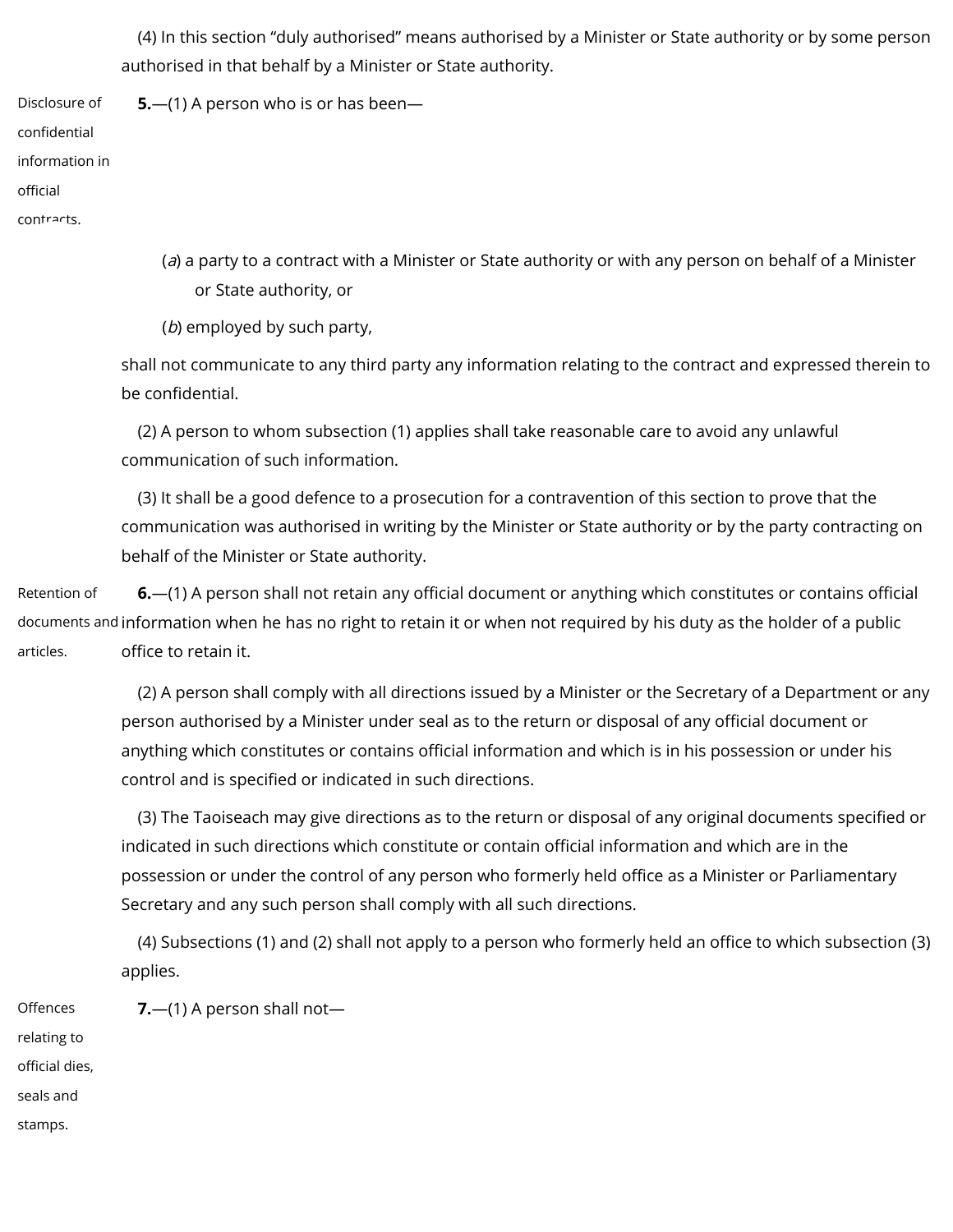(4) In this section "duly authorised" means authorised by a Minister or State authority or by some person authorised in that behalf by a Minister or State authority.

Disclosure of **5.**—(1) A person who is or has been—

confidential

information in

official

contracts.

(a) a party to a contract with a Minister or State authority or with any person on behalf of a Minister or State authority, or

(b) employed by such party,

**7.**—(1) A person shall not—

shall not communicate to any third party any information relating to the contract and expressed therein to be confidential.

(2) A person to whom subsection (1) applies shall take reasonable care to avoid any unlawful communication of such information.

(3) It shall be a good defence to a prosecution for a contravention of this section to prove that the communication was authorised in writing by the Minister or State authority or by the party contracting on behalf of the Minister or State authority.

Retention of documents and information when he has no right to retain it or when not required by his duty as the holder of a public articles. **6.**—(1) A person shall not retain any official document or anything which constitutes or contains official office to retain it.

> (2) A person shall comply with all directions issued by a Minister or the Secretary of a Department or any person authorised by a Minister under seal as to the return or disposal of any official document or anything which constitutes or contains official information and which is in his possession or under his control and is specified or indicated in such directions.

> (3) The Taoiseach may give directions as to the return or disposal of any original documents specified or indicated in such directions which constitute or contain official information and which are in the possession or under the control of any person who formerly held office as a Minister or Parliamentary Secretary and any such person shall comply with all such directions.

> (4) Subsections (1) and (2) shall not apply to a person who formerly held an office to which subsection (3) applies.

**Offences** relating to official dies, seals and stamps.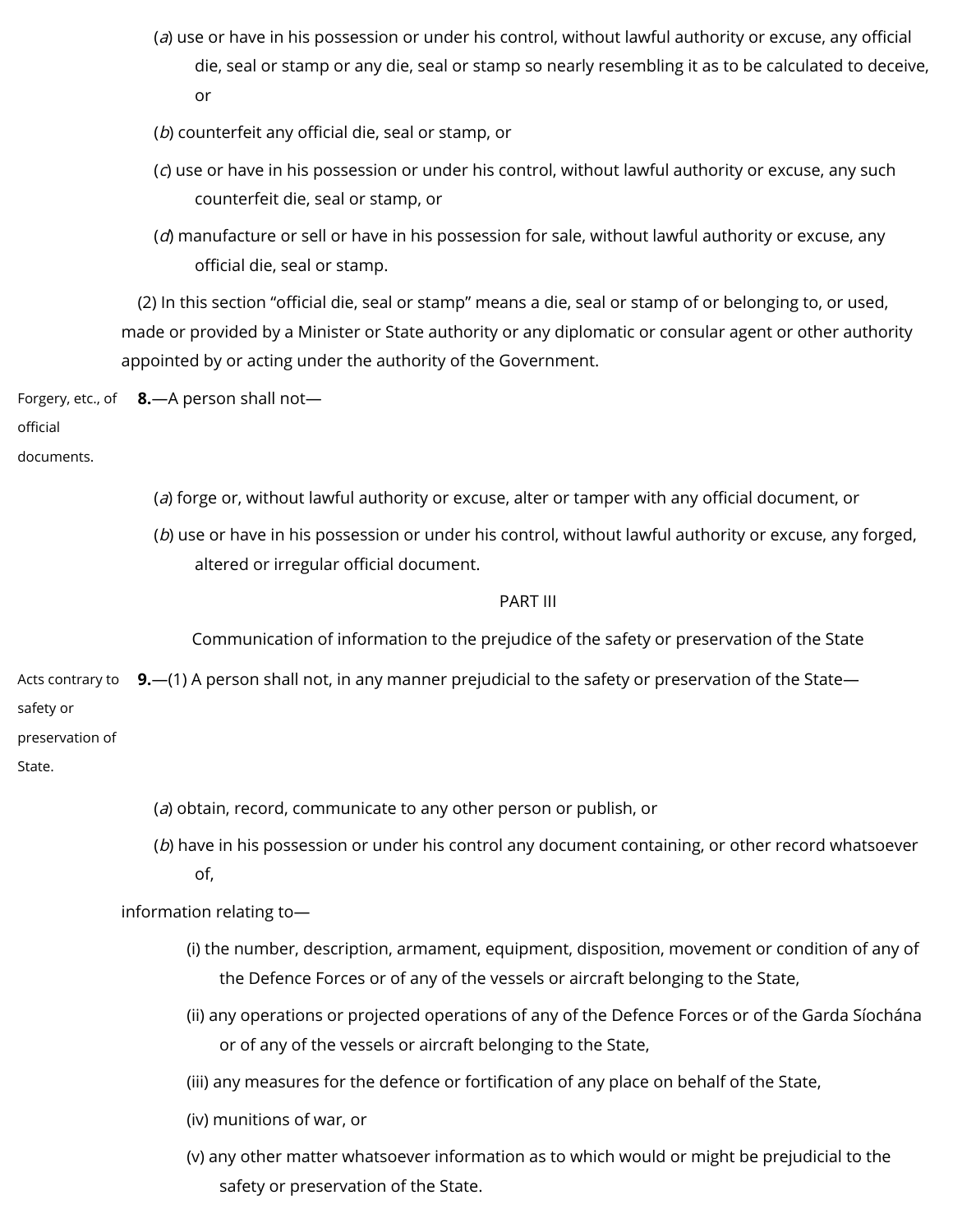- (a) use or have in his possession or under his control, without lawful authority or excuse, any official die, seal or stamp or any die, seal or stamp so nearly resembling it as to be calculated to deceive, or
- (b) counterfeit any official die, seal or stamp, or
- (c) use or have in his possession or under his control, without lawful authority or excuse, any such counterfeit die, seal or stamp, or
- (d) manufacture or sell or have in his possession for sale, without lawful authority or excuse, any official die, seal or stamp.

(2) In this section "official die, seal or stamp" means a die, seal or stamp of or belonging to, or used, made or provided by a Minister or State authority or any diplomatic or consular agent or other authority appointed by or acting under the authority of the Government.

Forgery, etc., of **8.**—A person shall not—

official

documents.

- (a) forge or, without lawful authority or excuse, alter or tamper with any official document, or
- (b) use or have in his possession or under his control, without lawful authority or excuse, any forged, altered or irregular official document.

# PART III

Communication of information to the prejudice of the safety or preservation of the State

Acts contrary to **9.**—(1) A person shall not, in any manner prejudicial to the safety or preservation of the State—

safety or

preservation of

State.

- (a) obtain, record, communicate to any other person or publish, or
- (b) have in his possession or under his control any document containing, or other record whatsoever of,

information relating to—

- (i) the number, description, armament, equipment, disposition, movement or condition of any of the Defence Forces or of any of the vessels or aircraft belonging to the State,
- (ii) any operations or projected operations of any of the Defence Forces or of the Garda Síochána or of any of the vessels or aircraft belonging to the State,
- (iii) any measures for the defence or fortification of any place on behalf of the State,
- (iv) munitions of war, or
- (v) any other matter whatsoever information as to which would or might be prejudicial to the safety or preservation of the State.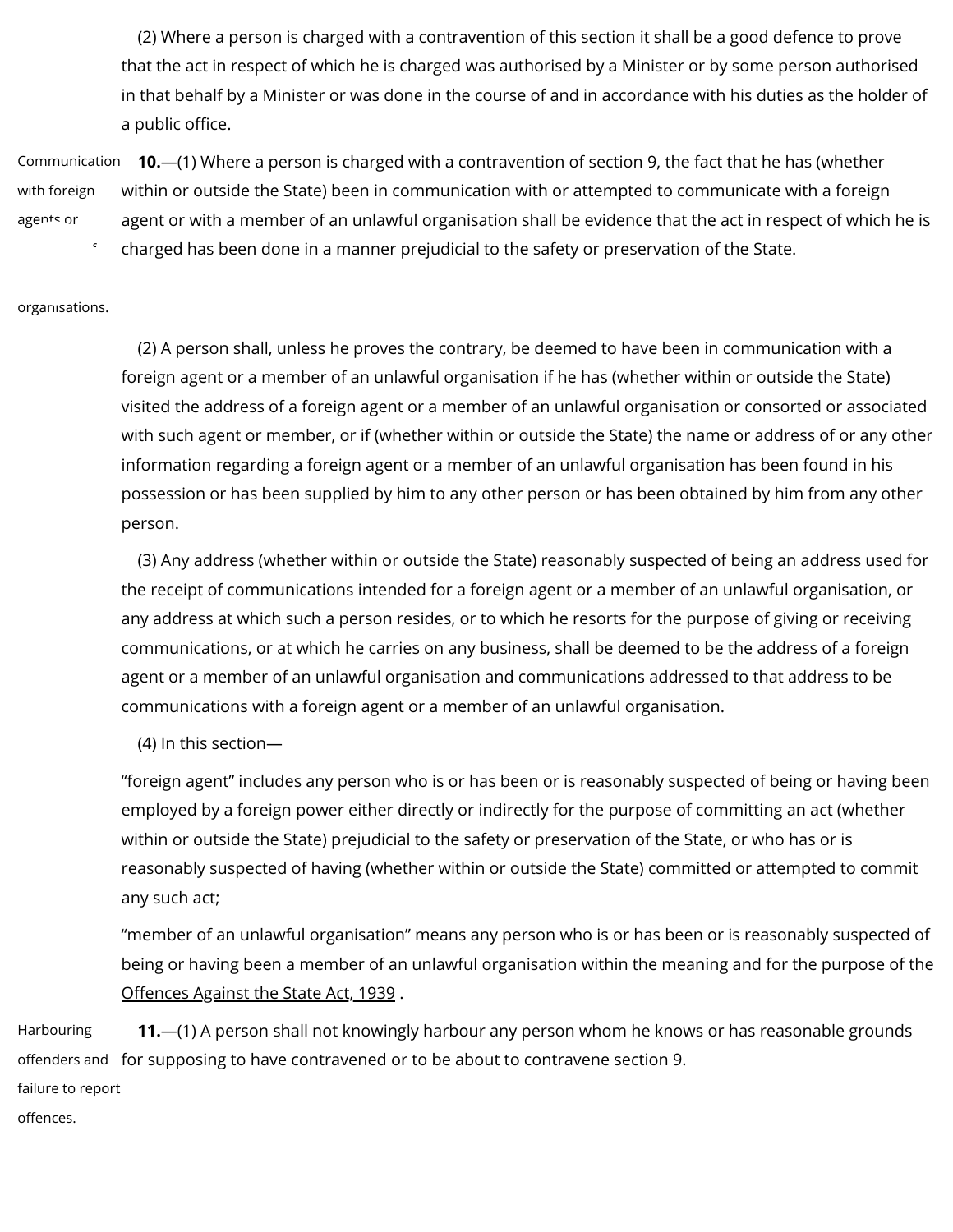(2) Where a person is charged with a contravention of this section it shall be a good defence to prove that the act in respect of which he is charged was authorised by a Minister or by some person authorised in that behalf by a Minister or was done in the course of and in accordance with his duties as the holder of a public office.

Communication **10.**—(1) Where a person is charged with a contravention of section 9, the fact that he has (whether with foreign agents or members of the state of the state of the state of the state of the state of the state of the state of the state of the state of the state of the state of the state of the state of the state of the state of the state of the within or outside the State) been in communication with or attempted to communicate with a foreign agent or with a member of an unlawful organisation shall be evidence that the act in respect of which he is

charged has been done in a manner prejudicial to the safety or preservation of the State.

#### organisations.

(2) A person shall, unless he proves the contrary, be deemed to have been in communication with a foreign agent or a member of an unlawful organisation if he has (whether within or outside the State) visited the address of a foreign agent or a member of an unlawful organisation or consorted or associated with such agent or member, or if (whether within or outside the State) the name or address of or any other information regarding a foreign agent or a member of an unlawful organisation has been found in his possession or has been supplied by him to any other person or has been obtained by him from any other person.

(3) Any address (whether within or outside the State) reasonably suspected of being an address used for the receipt of communications intended for a foreign agent or a member of an unlawful organisation, or any address at which such a person resides, or to which he resorts for the purpose of giving or receiving communications, or at which he carries on any business, shall be deemed to be the address of a foreign agent or a member of an unlawful organisation and communications addressed to that address to be communications with a foreign agent or a member of an unlawful organisation.

(4) In this section—

"foreign agent" includes any person who is or has been or is reasonably suspected of being or having been employed by a foreign power either directly or indirectly for the purpose of committing an act (whether within or outside the State) prejudicial to the safety or preservation of the State, or who has or is reasonably suspected of having (whether within or outside the State) committed or attempted to commit any such act;

"member of an unlawful organisation" means any person who is or has been or is reasonably suspected of being or having been a member of an unlawful organisation within the meaning and for the purpose of the [Offences Against the State Act, 1939](http://www.irishstatutebook.ie/1939/en/act/pub/0013/index.html) .

**Harbouring** offenders and for supposing to have contravened or to be about to contravene section 9.failure to report offences. **11.**—(1) A person shall not knowingly harbour any person whom he knows or has reasonable grounds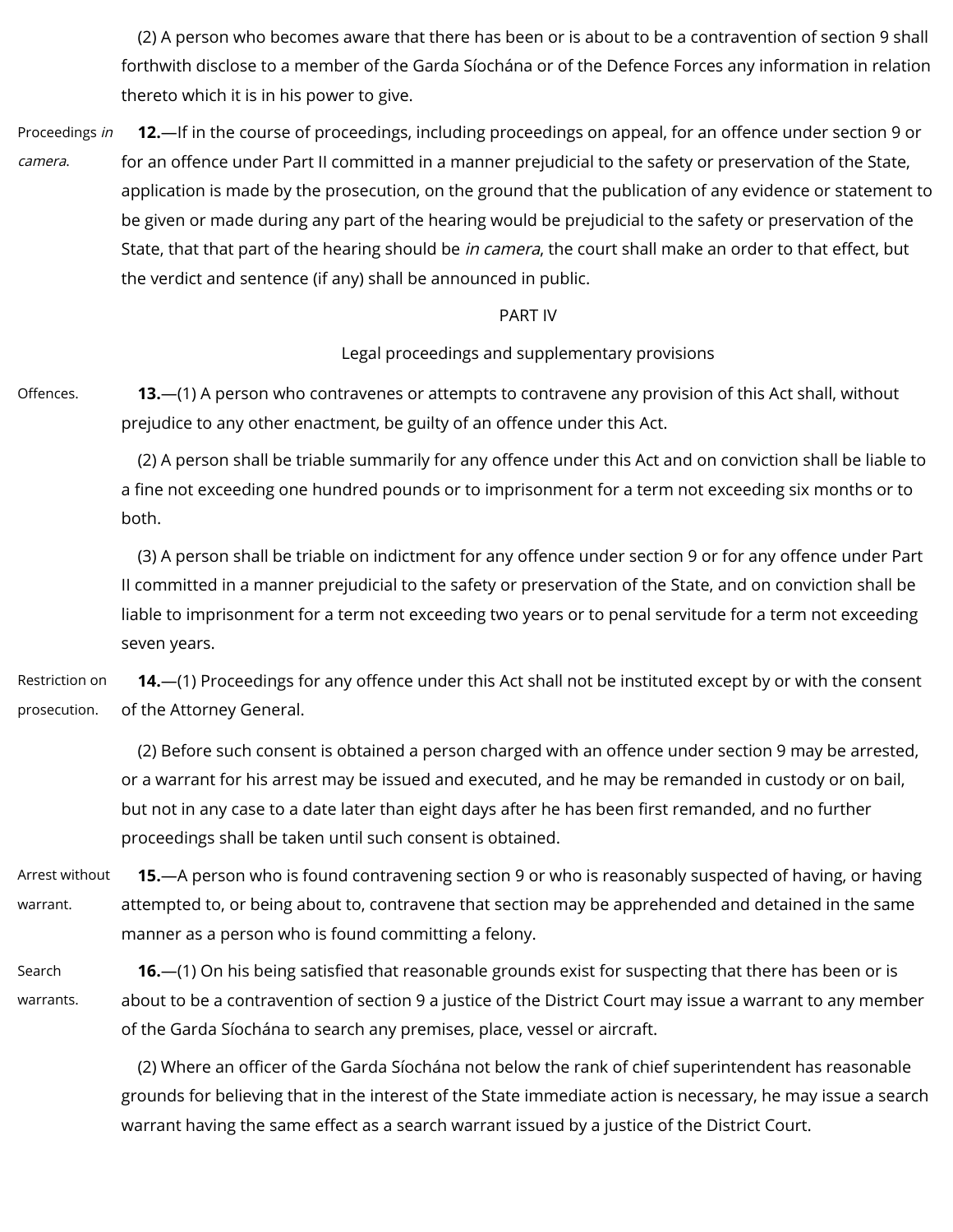(2) A person who becomes aware that there has been or is about to be a contravention of section 9 shall forthwith disclose to a member of the Garda Síochána or of the Defence Forces any information in relation thereto which it is in his power to give.

Proceedings in camera. **12.**—If in the course of proceedings, including proceedings on appeal, for an offence under section 9 or for an offence under Part II committed in a manner prejudicial to the safety or preservation of the State, application is made by the prosecution, on the ground that the publication of any evidence or statement to be given or made during any part of the hearing would be prejudicial to the safety or preservation of the State, that that part of the hearing should be *in camera*, the court shall make an order to that effect, but the verdict and sentence (if any) shall be announced in public.

#### PART IV

Legal proceedings and supplementary provisions

Offences. **13.**—(1) A person who contravenes or attempts to contravene any provision of this Act shall, without prejudice to any other enactment, be guilty of an offence under this Act.

> (2) A person shall be triable summarily for any offence under this Act and on conviction shall be liable to a fine not exceeding one hundred pounds or to imprisonment for a term not exceeding six months or to both.

> (3) A person shall be triable on indictment for any offence under section 9 or for any offence under Part II committed in a manner prejudicial to the safety or preservation of the State, and on conviction shall be liable to imprisonment for a term not exceeding two years or to penal servitude for a term not exceeding seven years.

Restriction on prosecution. **14.**—(1) Proceedings for any offence under this Act shall not be instituted except by or with the consent of the Attorney General.

> (2) Before such consent is obtained a person charged with an offence under section 9 may be arrested, or a warrant for his arrest may be issued and executed, and he may be remanded in custody or on bail, but not in any case to a date later than eight days after he has been first remanded, and no further proceedings shall be taken until such consent is obtained.

Arrest without warrant. **15.**—A person who is found contravening section 9 or who is reasonably suspected of having, or having attempted to, or being about to, contravene that section may be apprehended and detained in the same manner as a person who is found committing a felony.

Search warrants. **16.**—(1) On his being satisfied that reasonable grounds exist for suspecting that there has been or is about to be a contravention of section 9 a justice of the District Court may issue a warrant to any member of the Garda Síochána to search any premises, place, vessel or aircraft.

> (2) Where an officer of the Garda Síochána not below the rank of chief superintendent has reasonable grounds for believing that in the interest of the State immediate action is necessary, he may issue a search warrant having the same effect as a search warrant issued by a justice of the District Court.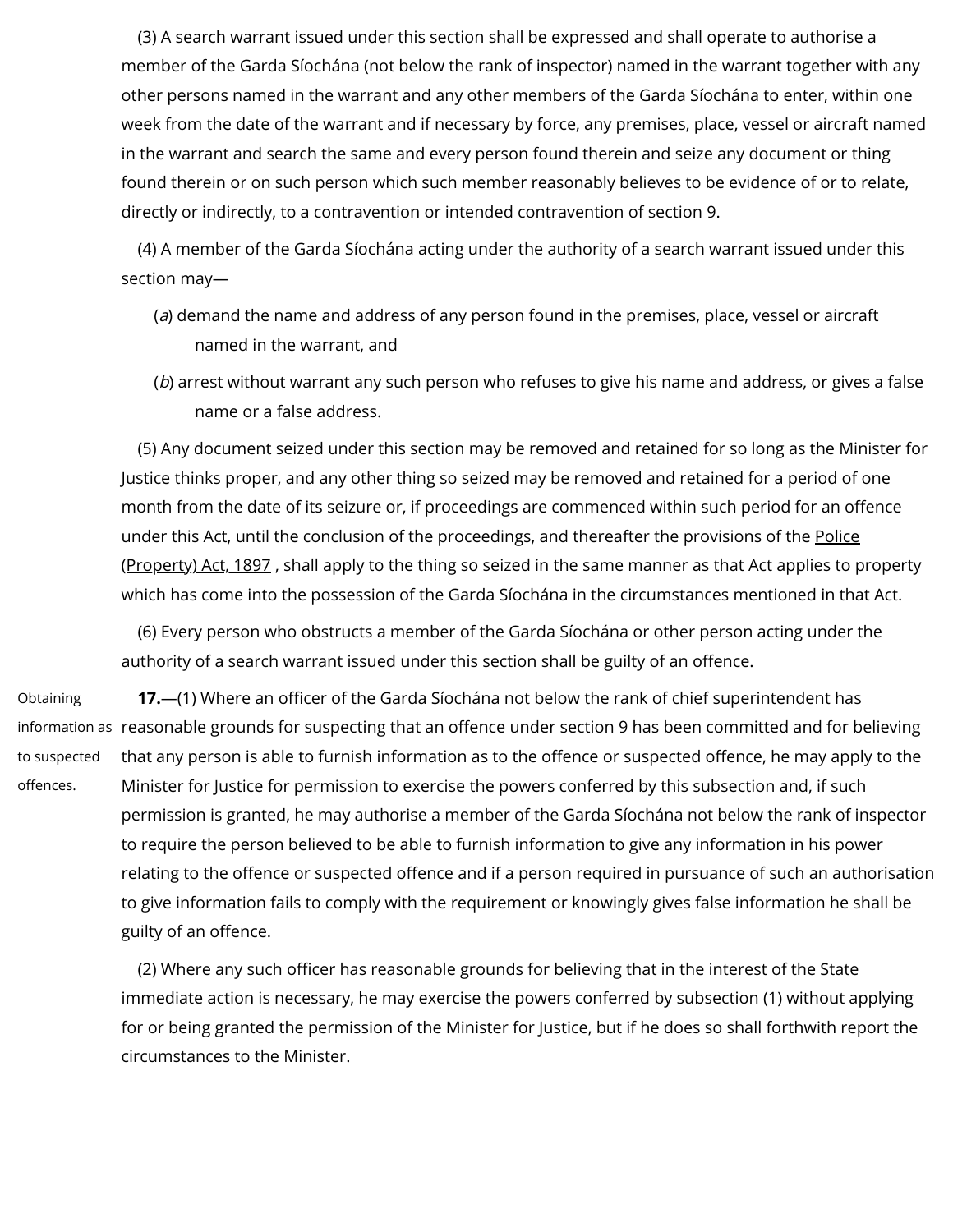(3) A search warrant issued under this section shall be expressed and shall operate to authorise a member of the Garda Síochána (not below the rank of inspector) named in the warrant together with any other persons named in the warrant and any other members of the Garda Síochána to enter, within one week from the date of the warrant and if necessary by force, any premises, place, vessel or aircraft named in the warrant and search the same and every person found therein and seize any document or thing found therein or on such person which such member reasonably believes to be evidence of or to relate, directly or indirectly, to a contravention or intended contravention of section 9.

(4) A member of the Garda Síochána acting under the authority of a search warrant issued under this section may—

- (a) demand the name and address of any person found in the premises, place, vessel or aircraft named in the warrant, and
- (b) arrest without warrant any such person who refuses to give his name and address, or gives a false name or a false address.

(5) Any document seized under this section may be removed and retained for so long as the Minister for Justice thinks proper, and any other thing so seized may be removed and retained for a period of one month from the date of its seizure or, if proceedings are commenced within such period for an offence under this Act, until the conclusion of the proceedings, and thereafter the provisions of the Police [\(Property\) Act, 1897 , shall apply to the thing so seized in the same manner as that Act applies to p](http://www.irishstatutebook.ie/1897/en/act/pub/0030/index.html)roperty which has come into the possession of the Garda Síochána in the circumstances mentioned in that Act.

(6) Every person who obstructs a member of the Garda Síochána or other person acting under the authority of a search warrant issued under this section shall be guilty of an offence.

**Obtaining** information as reasonable grounds for suspecting that an offence under section 9 has been committed and for believing to suspected offences. **17.**—(1) Where an officer of the Garda Síochána not below the rank of chief superintendent has that any person is able to furnish information as to the offence or suspected offence, he may apply to the Minister for Justice for permission to exercise the powers conferred by this subsection and, if such permission is granted, he may authorise a member of the Garda Síochána not below the rank of inspector to require the person believed to be able to furnish information to give any information in his power relating to the offence or suspected offence and if a person required in pursuance of such an authorisation to give information fails to comply with the requirement or knowingly gives false information he shall be guilty of an offence.

> (2) Where any such officer has reasonable grounds for believing that in the interest of the State immediate action is necessary, he may exercise the powers conferred by subsection (1) without applying for or being granted the permission of the Minister for Justice, but if he does so shall forthwith report the circumstances to the Minister.